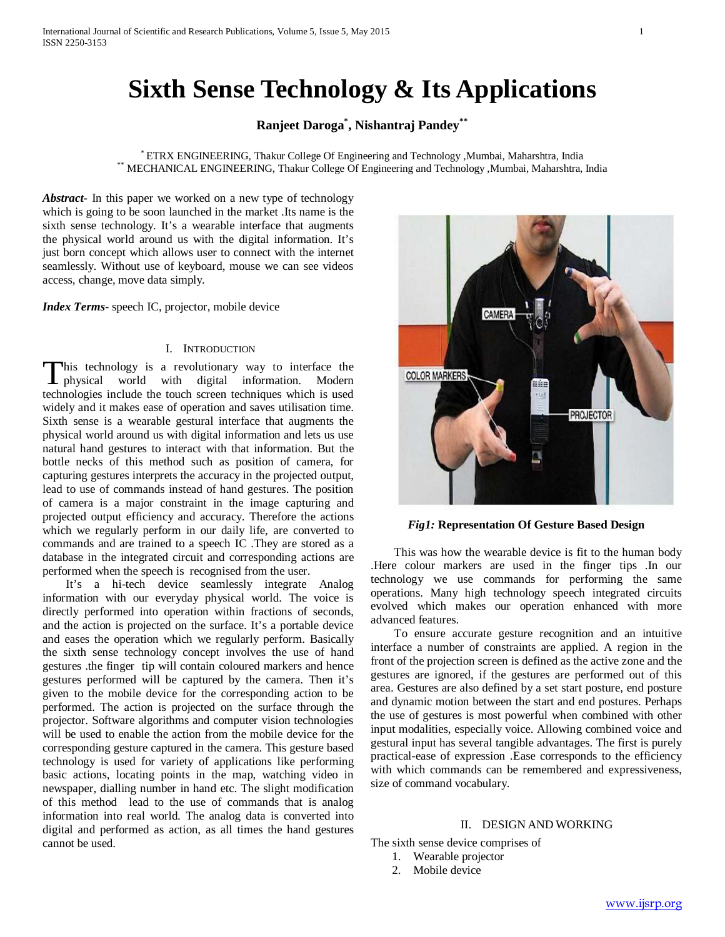# **Sixth Sense Technology & Its Applications**

## **Ranjeet Daroga\* , Nishantraj Pandey\*\***

\* ETRX ENGINEERING, Thakur College Of Engineering and Technology ,Mumbai, Maharshtra, India \*\* MECHANICAL ENGINEERING, Thakur College Of Engineering and Technology ,Mumbai, Maharshtra, India

*Abstract***-** In this paper we worked on a new type of technology which is going to be soon launched in the market .Its name is the sixth sense technology. It's a wearable interface that augments the physical world around us with the digital information. It's just born concept which allows user to connect with the internet seamlessly. Without use of keyboard, mouse we can see videos access, change, move data simply.

*Index Terms*- speech IC, projector, mobile device

### I. INTRODUCTION

his technology is a revolutionary way to interface the This technology is a revolutionary way to interface the physical world with digital information. Modern technologies include the touch screen techniques which is used widely and it makes ease of operation and saves utilisation time. Sixth sense is a wearable gestural interface that augments the physical world around us with digital information and lets us use natural hand gestures to interact with that information. But the bottle necks of this method such as position of camera, for capturing gestures interprets the accuracy in the projected output, lead to use of commands instead of hand gestures. The position of camera is a major constraint in the image capturing and projected output efficiency and accuracy. Therefore the actions which we regularly perform in our daily life, are converted to commands and are trained to a speech IC .They are stored as a database in the integrated circuit and corresponding actions are performed when the speech is recognised from the user.

 It's a hi-tech device seamlessly integrate Analog information with our everyday physical world. The voice is directly performed into operation within fractions of seconds, and the action is projected on the surface. It's a portable device and eases the operation which we regularly perform. Basically the sixth sense technology concept involves the use of hand gestures .the finger tip will contain coloured markers and hence gestures performed will be captured by the camera. Then it's given to the mobile device for the corresponding action to be performed. The action is projected on the surface through the projector. Software algorithms and computer vision technologies will be used to enable the action from the mobile device for the corresponding gesture captured in the camera. This gesture based technology is used for variety of applications like performing basic actions, locating points in the map, watching video in newspaper, dialling number in hand etc. The slight modification of this method lead to the use of commands that is analog information into real world. The analog data is converted into digital and performed as action, as all times the hand gestures cannot be used.



*Fig1:* **Representation Of Gesture Based Design**

 This was how the wearable device is fit to the human body .Here colour markers are used in the finger tips .In our technology we use commands for performing the same operations. Many high technology speech integrated circuits evolved which makes our operation enhanced with more advanced features.

 To ensure accurate gesture recognition and an intuitive interface a number of constraints are applied. A region in the front of the projection screen is defined as the active zone and the gestures are ignored, if the gestures are performed out of this area. Gestures are also defined by a set start posture, end posture and dynamic motion between the start and end postures. Perhaps the use of gestures is most powerful when combined with other input modalities, especially voice. Allowing combined voice and gestural input has several tangible advantages. The first is purely practical-ease of expression .Ease corresponds to the efficiency with which commands can be remembered and expressiveness, size of command vocabulary.

## II. DESIGN AND WORKING

The sixth sense device comprises of

- 1. Wearable projector
- 2. Mobile device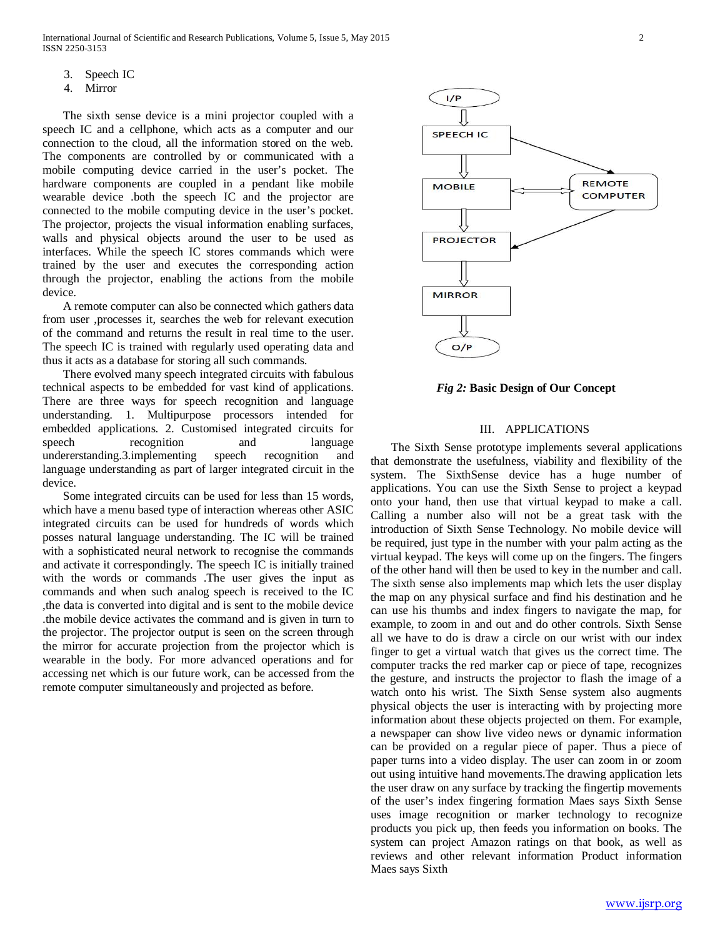- 3. Speech IC
- 4. Mirror

 The sixth sense device is a mini projector coupled with a speech IC and a cellphone, which acts as a computer and our connection to the cloud, all the information stored on the web. The components are controlled by or communicated with a mobile computing device carried in the user's pocket. The hardware components are coupled in a pendant like mobile wearable device .both the speech IC and the projector are connected to the mobile computing device in the user's pocket. The projector, projects the visual information enabling surfaces, walls and physical objects around the user to be used as interfaces. While the speech IC stores commands which were trained by the user and executes the corresponding action through the projector, enabling the actions from the mobile device.

 A remote computer can also be connected which gathers data from user ,processes it, searches the web for relevant execution of the command and returns the result in real time to the user. The speech IC is trained with regularly used operating data and thus it acts as a database for storing all such commands.

 There evolved many speech integrated circuits with fabulous technical aspects to be embedded for vast kind of applications. There are three ways for speech recognition and language understanding. 1. Multipurpose processors intended for embedded applications. 2. Customised integrated circuits for speech recognition and language undererstanding.3.implementing speech recognition and language understanding as part of larger integrated circuit in the device.

 Some integrated circuits can be used for less than 15 words, which have a menu based type of interaction whereas other ASIC integrated circuits can be used for hundreds of words which posses natural language understanding. The IC will be trained with a sophisticated neural network to recognise the commands and activate it correspondingly. The speech IC is initially trained with the words or commands .The user gives the input as commands and when such analog speech is received to the IC ,the data is converted into digital and is sent to the mobile device .the mobile device activates the command and is given in turn to the projector. The projector output is seen on the screen through the mirror for accurate projection from the projector which is wearable in the body. For more advanced operations and for accessing net which is our future work, can be accessed from the remote computer simultaneously and projected as before.



*Fig 2:* **Basic Design of Our Concept**

## III. APPLICATIONS

 The Sixth Sense prototype implements several applications that demonstrate the usefulness, viability and flexibility of the system. The SixthSense device has a huge number of applications. You can use the Sixth Sense to project a keypad onto your hand, then use that virtual keypad to make a call. Calling a number also will not be a great task with the introduction of Sixth Sense Technology. No mobile device will be required, just type in the number with your palm acting as the virtual keypad. The keys will come up on the fingers. The fingers of the other hand will then be used to key in the number and call. The sixth sense also implements map which lets the user display the map on any physical surface and find his destination and he can use his thumbs and index fingers to navigate the map, for example, to zoom in and out and do other controls. Sixth Sense all we have to do is draw a circle on our wrist with our index finger to get a virtual watch that gives us the correct time. The computer tracks the red marker cap or piece of tape, recognizes the gesture, and instructs the projector to flash the image of a watch onto his wrist. The Sixth Sense system also augments physical objects the user is interacting with by projecting more information about these objects projected on them. For example, a newspaper can show live video news or dynamic information can be provided on a regular piece of paper. Thus a piece of paper turns into a video display. The user can zoom in or zoom out using intuitive hand movements.The drawing application lets the user draw on any surface by tracking the fingertip movements of the user's index fingering formation Maes says Sixth Sense uses image recognition or marker technology to recognize products you pick up, then feeds you information on books. The system can project Amazon ratings on that book, as well as reviews and other relevant information Product information Maes says Sixth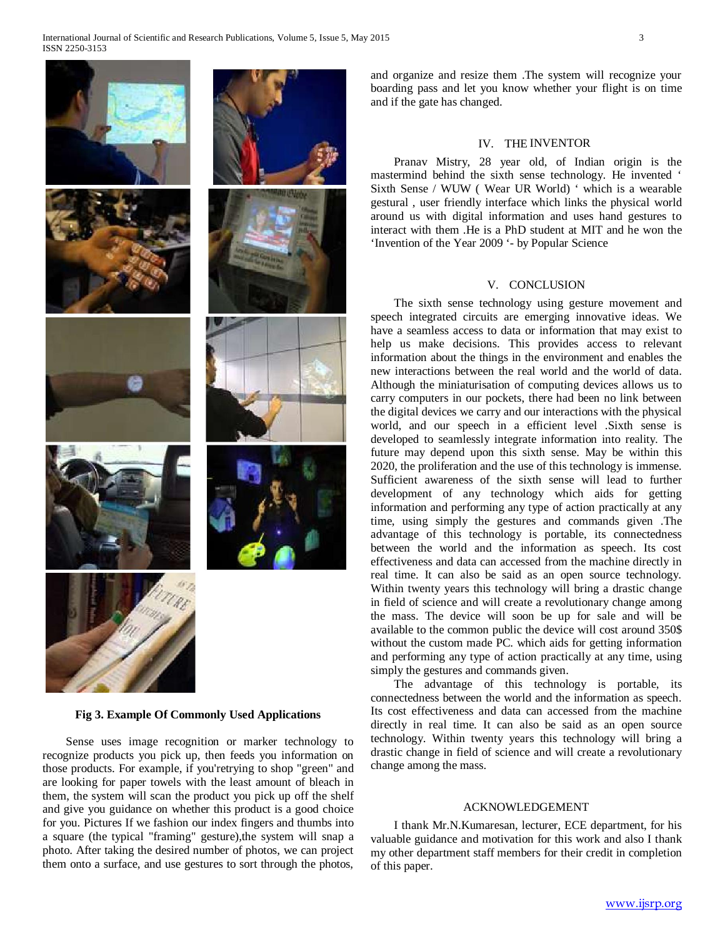

#### **Fig 3. Example Of Commonly Used Applications**

 Sense uses image recognition or marker technology to recognize products you pick up, then feeds you information on those products. For example, if you'retrying to shop "green" and are looking for paper towels with the least amount of bleach in them, the system will scan the product you pick up off the shelf and give you guidance on whether this product is a good choice for you. Pictures If we fashion our index fingers and thumbs into a square (the typical "framing" gesture),the system will snap a photo. After taking the desired number of photos, we can project them onto a surface, and use gestures to sort through the photos,

and organize and resize them .The system will recognize your boarding pass and let you know whether your flight is on time and if the gate has changed.

## IV. THE INVENTOR

 Pranav Mistry, 28 year old, of Indian origin is the mastermind behind the sixth sense technology. He invented ' Sixth Sense / WUW ( Wear UR World) ' which is a wearable gestural , user friendly interface which links the physical world around us with digital information and uses hand gestures to interact with them .He is a PhD student at MIT and he won the 'Invention of the Year 2009 '- by Popular Science

#### V. CONCLUSION

 The sixth sense technology using gesture movement and speech integrated circuits are emerging innovative ideas. We have a seamless access to data or information that may exist to help us make decisions. This provides access to relevant information about the things in the environment and enables the new interactions between the real world and the world of data. Although the miniaturisation of computing devices allows us to carry computers in our pockets, there had been no link between the digital devices we carry and our interactions with the physical world, and our speech in a efficient level .Sixth sense is developed to seamlessly integrate information into reality. The future may depend upon this sixth sense. May be within this 2020, the proliferation and the use of this technology is immense. Sufficient awareness of the sixth sense will lead to further development of any technology which aids for getting information and performing any type of action practically at any time, using simply the gestures and commands given .The advantage of this technology is portable, its connectedness between the world and the information as speech. Its cost effectiveness and data can accessed from the machine directly in real time. It can also be said as an open source technology. Within twenty years this technology will bring a drastic change in field of science and will create a revolutionary change among the mass. The device will soon be up for sale and will be available to the common public the device will cost around 350\$ without the custom made PC. which aids for getting information and performing any type of action practically at any time, using simply the gestures and commands given.

 The advantage of this technology is portable, its connectedness between the world and the information as speech. Its cost effectiveness and data can accessed from the machine directly in real time. It can also be said as an open source technology. Within twenty years this technology will bring a drastic change in field of science and will create a revolutionary change among the mass.

## ACKNOWLEDGEMENT

 I thank Mr.N.Kumaresan, lecturer, ECE department, for his valuable guidance and motivation for this work and also I thank my other department staff members for their credit in completion of this paper.